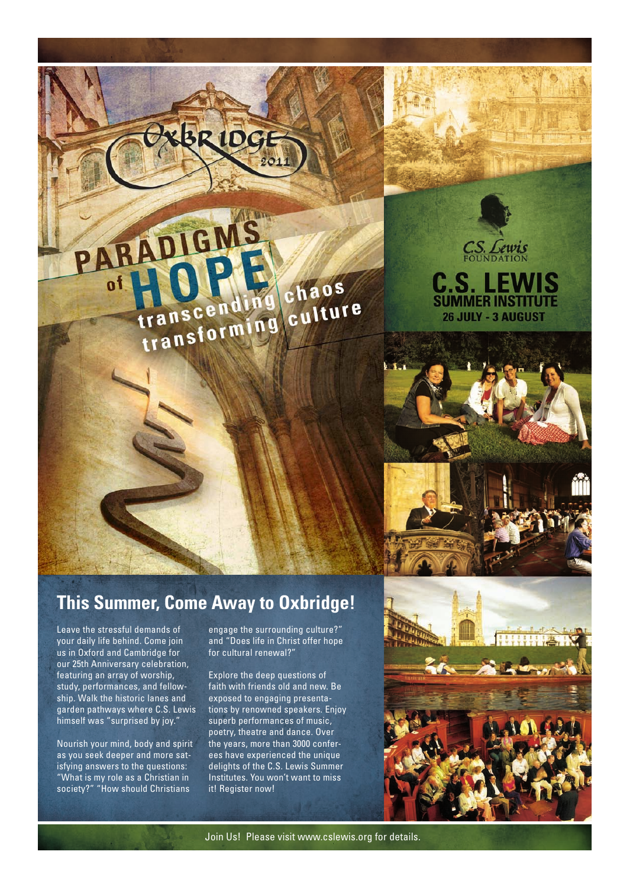## chaos transcending chaos

KBRIDG

ARADIGMS

C.S. Lewis

**C.S. LEWIS**<br>SUMMER INSTITUTE

**26 JULY - 3 AUGUST** 

### **This Summer, Come Away to Oxbridge!**

Leave the stressful demands of your daily life behind. Come join us in Oxford and Cambridge for our 25th Anniversary celebration, featuring an array of worship, study, performances, and fellowship. Walk the historic lanes and garden pathways where C.S. Lewis himself was "surprised by joy."

Nourish your mind, body and spirit as you seek deeper and more satisfying answers to the questions: "What is my role as a Christian in society?" "How should Christians

engage the surrounding culture?" and "Does life in Christ offer hope for cultural renewal?"

Explore the deep questions of faith with friends old and new. Be exposed to engaging presentations by renowned speakers. Enjoy superb performances of music, poetry, theatre and dance. Over the years, more than 3000 conferees have experienced the unique delights of the C.S. Lewis Summer Institutes. You won't want to miss it! Register now!



Join Us! Please visit www.cslewis.org for details.